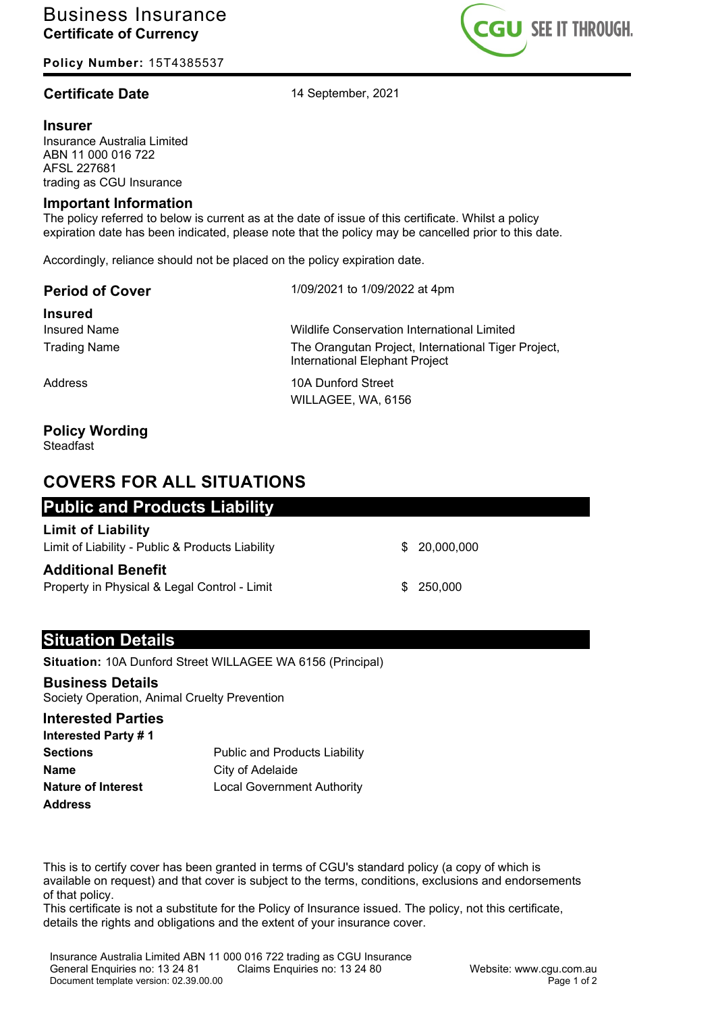**Policy Number:** 15T4385537

## **Certificate Date** 14 September, 2021

#### **Insurer**

Insurance Australia Limited ABN 11 000 016 722 AFSL 227681 trading as CGU Insurance

#### **Important Information**

The policy referred to below is current as at the date of issue of this certificate. Whilst a policy expiration date has been indicated, please note that the policy may be cancelled prior to this date.

Accordingly, reliance should not be placed on the policy expiration date.

|  | <b>Period of Cover</b> |  |
|--|------------------------|--|
|--|------------------------|--|

**Period of Cover** 1/09/2021 to 1/09/2022 at 4pm

**Insured**

Insured Name Wildlife Conservation International Limited Trading Name The Orangutan Project, International Tiger Project, International Elephant Project

Address 10A Dunford Street WILLAGEE, WA, 6156

# **Policy Wording**

Steadfast

# **COVERS FOR ALL SITUATIONS**

## **Public and Products Liability**

#### **Limit of Liability**

Limit of Liability - Public & Products Liability **\$ 20,000,000** \$ 20,000,000

#### **Additional Benefit**

Property in Physical & Legal Control - Limit  $$3250.000$ 

### **Situation Details**

**Situation:** 10A Dunford Street WILLAGEE WA 6156 (Principal)

#### **Business Details**

Society Operation, Animal Cruelty Prevention

#### **Interested Parties**

| Interested Party #1       |                                      |
|---------------------------|--------------------------------------|
| <b>Sections</b>           | <b>Public and Products Liability</b> |
| Name                      | City of Adelaide                     |
| <b>Nature of Interest</b> | <b>Local Government Authority</b>    |
| <b>Address</b>            |                                      |

This is to certify cover has been granted in terms of CGU's standard policy (a copy of which is available on request) and that cover is subject to the terms, conditions, exclusions and endorsements of that policy.

This certificate is not a substitute for the Policy of Insurance issued. The policy, not this certificate, details the rights and obligations and the extent of your insurance cover.